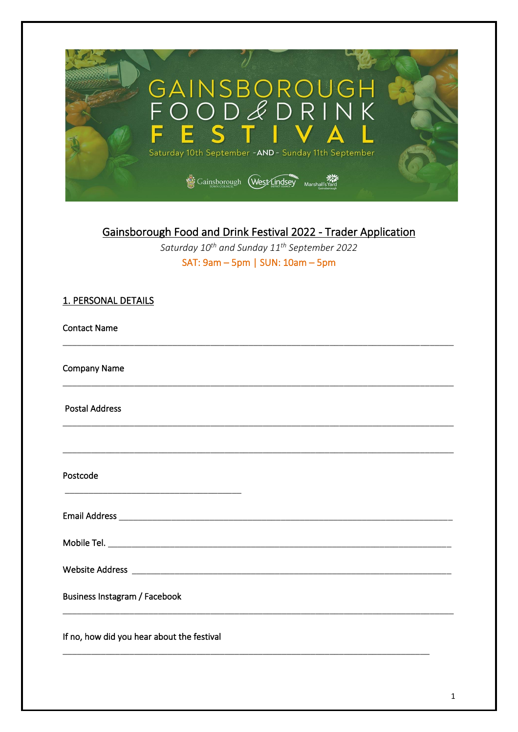

# Gainsborough Food and Drink Festival 2022 - Trader Application

Saturday 10<sup>th</sup> and Sunday 11<sup>th</sup> September 2022 SAT:  $9am - 5pm$  | SUN:  $10am - 5pm$ 

| 1. PERSONAL DETAILS                                                                                                                          |  |
|----------------------------------------------------------------------------------------------------------------------------------------------|--|
| <b>Contact Name</b>                                                                                                                          |  |
| <b>Company Name</b><br><u> 1989 - Johann Stoff, deutscher Stoff, der Stoff, der Stoff, der Stoff, der Stoff, der Stoff, der Stoff, der S</u> |  |
| <b>Postal Address</b>                                                                                                                        |  |
|                                                                                                                                              |  |
| Postcode                                                                                                                                     |  |
|                                                                                                                                              |  |
|                                                                                                                                              |  |
|                                                                                                                                              |  |
| Business Instagram / Facebook                                                                                                                |  |
| If no, how did you hear about the festival                                                                                                   |  |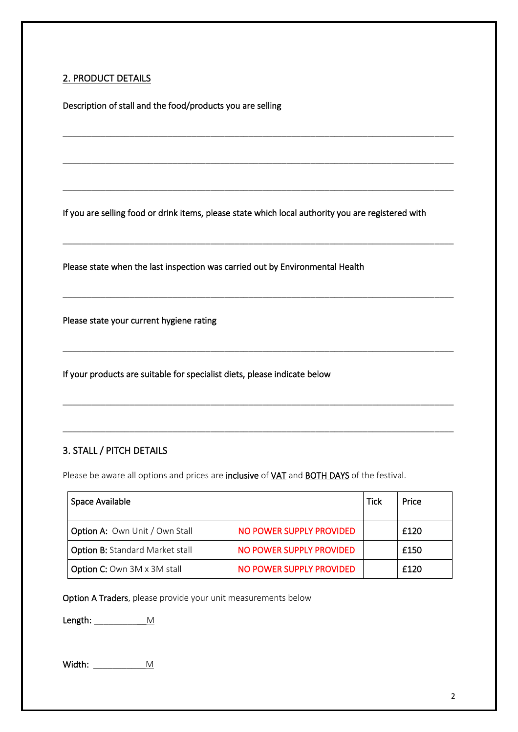### 2. PRODUCT DETAILS

Description of stall and the food/products you are selling

If you are selling food or drink items, please state which local authority you are registered with

\_\_\_\_\_\_\_\_\_\_\_\_\_\_\_\_\_\_\_\_\_\_\_\_\_\_\_\_\_\_\_\_\_\_\_\_\_\_\_\_\_\_\_\_\_\_\_\_\_\_\_\_\_\_\_\_\_\_\_\_\_\_\_\_\_\_\_\_\_\_\_\_\_\_\_\_\_\_\_\_\_\_

\_\_\_\_\_\_\_\_\_\_\_\_\_\_\_\_\_\_\_\_\_\_\_\_\_\_\_\_\_\_\_\_\_\_\_\_\_\_\_\_\_\_\_\_\_\_\_\_\_\_\_\_\_\_\_\_\_\_\_\_\_\_\_\_\_\_\_\_\_\_\_\_\_\_\_\_\_\_\_\_\_\_

\_\_\_\_\_\_\_\_\_\_\_\_\_\_\_\_\_\_\_\_\_\_\_\_\_\_\_\_\_\_\_\_\_\_\_\_\_\_\_\_\_\_\_\_\_\_\_\_\_\_\_\_\_\_\_\_\_\_\_\_\_\_\_\_\_\_\_\_\_\_\_\_\_\_\_\_\_\_\_\_\_\_

\_\_\_\_\_\_\_\_\_\_\_\_\_\_\_\_\_\_\_\_\_\_\_\_\_\_\_\_\_\_\_\_\_\_\_\_\_\_\_\_\_\_\_\_\_\_\_\_\_\_\_\_\_\_\_\_\_\_\_\_\_\_\_\_\_\_\_\_\_\_\_\_\_\_\_\_\_\_\_\_\_\_

\_\_\_\_\_\_\_\_\_\_\_\_\_\_\_\_\_\_\_\_\_\_\_\_\_\_\_\_\_\_\_\_\_\_\_\_\_\_\_\_\_\_\_\_\_\_\_\_\_\_\_\_\_\_\_\_\_\_\_\_\_\_\_\_\_\_\_\_\_\_\_\_\_\_\_\_\_\_\_\_\_\_

\_\_\_\_\_\_\_\_\_\_\_\_\_\_\_\_\_\_\_\_\_\_\_\_\_\_\_\_\_\_\_\_\_\_\_\_\_\_\_\_\_\_\_\_\_\_\_\_\_\_\_\_\_\_\_\_\_\_\_\_\_\_\_\_\_\_\_\_\_\_\_\_\_\_\_\_\_\_\_\_\_\_

\_\_\_\_\_\_\_\_\_\_\_\_\_\_\_\_\_\_\_\_\_\_\_\_\_\_\_\_\_\_\_\_\_\_\_\_\_\_\_\_\_\_\_\_\_\_\_\_\_\_\_\_\_\_\_\_\_\_\_\_\_\_\_\_\_\_\_\_\_\_\_\_\_\_\_\_\_\_\_\_\_\_

\_\_\_\_\_\_\_\_\_\_\_\_\_\_\_\_\_\_\_\_\_\_\_\_\_\_\_\_\_\_\_\_\_\_\_\_\_\_\_\_\_\_\_\_\_\_\_\_\_\_\_\_\_\_\_\_\_\_\_\_\_\_\_\_\_\_\_\_\_\_\_\_\_\_\_\_\_\_\_\_\_\_

Please state when the last inspection was carried out by Environmental Health

Please state your current hygiene rating

If your products are suitable for specialist diets, please indicate below

### 3. STALL / PITCH DETAILS

Please be aware all options and prices are inclusive of VAT and BOTH DAYS of the festival.

| Space Available                        |                          | <b>Tick</b> | Price |
|----------------------------------------|--------------------------|-------------|-------|
| <b>Option A: Own Unit / Own Stall</b>  | NO POWER SUPPLY PROVIDED |             | £120  |
| <b>Option B: Standard Market stall</b> | NO POWER SUPPLY PROVIDED |             | £150  |
| Option C: Own 3M x 3M stall            | NO POWER SUPPLY PROVIDED |             | £120  |

Option A Traders, please provide your unit measurements below

Length: \_\_\_\_\_\_\_\_\_\_\_M

Width:  $\underline{\hspace{1cm}}$  M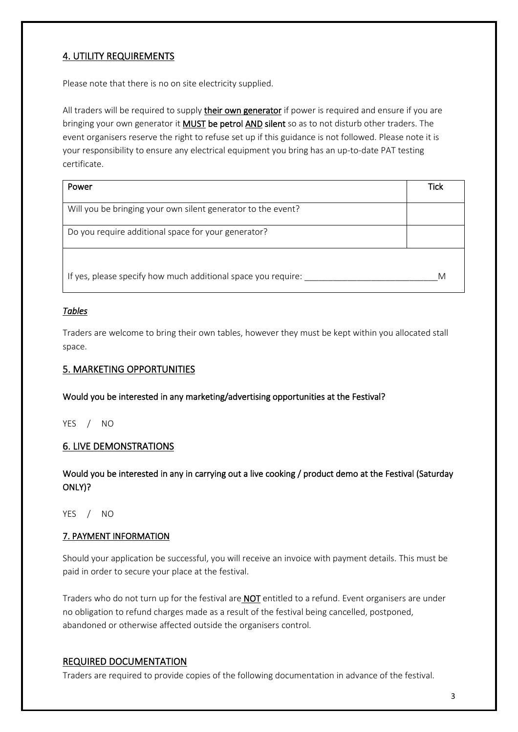# 4. UTILITY REQUIREMENTS

Please note that there is no on site electricity supplied.

All traders will be required to supply their own generator if power is required and ensure if you are bringing your own generator it **MUST** be petrol AND silent so as to not disturb other traders. The event organisers reserve the right to refuse set up if this guidance is not followed. Please note it is your responsibility to ensure any electrical equipment you bring has an up-to-date PAT testing certificate.

| Power                                                         | Tick |
|---------------------------------------------------------------|------|
| Will you be bringing your own silent generator to the event?  |      |
| Do you require additional space for your generator?           |      |
|                                                               |      |
| If yes, please specify how much additional space you require: | M    |

### *Tables*

Traders are welcome to bring their own tables, however they must be kept within you allocated stall space.

### 5. MARKETING OPPORTUNITIES

Would you be interested in any marketing/advertising opportunities at the Festival?

YES / NO

### 6. LIVE DEMONSTRATIONS

Would you be interested in any in carrying out a live cooking / product demo at the Festival (Saturday ONLY)?

YES / NO

#### 7. PAYMENT INFORMATION

Should your application be successful, you will receive an invoice with payment details. This must be paid in order to secure your place at the festival.

Traders who do not turn up for the festival are **NOT** entitled to a refund. Event organisers are under no obligation to refund charges made as a result of the festival being cancelled, postponed, abandoned or otherwise affected outside the organisers control.

### REQUIRED DOCUMENTATION

Traders are required to provide copies of the following documentation in advance of the festival.